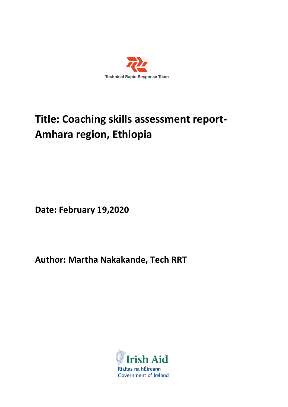

# **Title: Coaching skills assessment report-Amhara region, Ethiopia**

**Date: February 19,2020**

**Author: Martha Nakakande, Tech RRT**

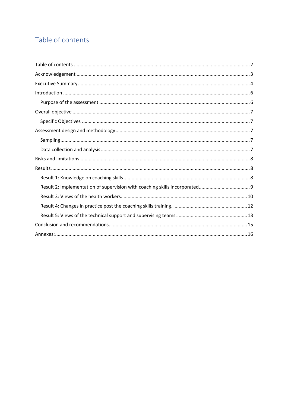# Table of contents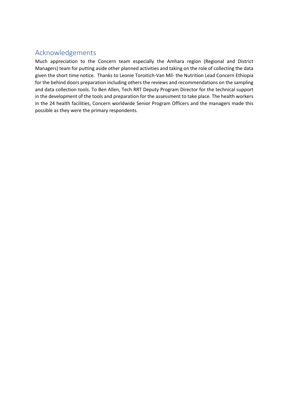# Acknowledgements

Much appreciation to the Concern team especially the Amhara region (Regional and District Managers) team for putting aside other planned activities and taking on the role of collecting the data given the short time notice. Thanks to Leonie Toroitich-Van Mil- the Nutrition Lead Concern Ethiopia for the behind doors preparation including others the reviews and recommendations on the sampling and data collection tools. To Ben Allen, Tech RRT Deputy Program Director for the technical support in the development of the tools and preparation for the assessment to take place. The health workers in the 24 health facilities, Concern worldwide Senior Program Officers and the managers made this possible as they were the primary respondents.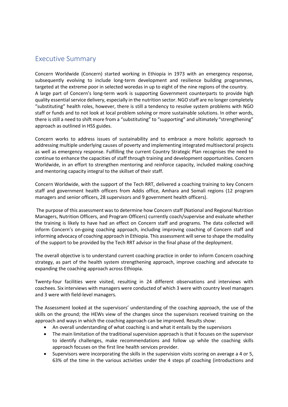# Executive Summary

Concern Worldwide (Concern) started working in Ethiopia in 1973 with an emergency response, subsequently evolving to include long-term development and resilience building programmes, targeted at the extreme poor in selected woredas in up to eight of the nine regions of the country. A large part of Concern's long-term work is supporting Government counterparts to provide high quality essential service delivery, especially in the nutrition sector. NGO staff are no longer completely "substituting" health roles, however, there is still a tendency to resolve system problems with NGO staff or funds and to not look at local problem solving or more sustainable solutions. In other words, there is still a need to shift more from a "substituting" to "supporting" and ultimately "strengthening" approach as outlined in HSS guides.

Concern works to address issues of sustainability and to embrace a more holistic approach to addressing multiple underlying causes of poverty and implementing integrated multisectoral projects as well as emergency response. Fulfilling the current Country Strategic Plan recognises the need to continue to enhance the capacities of staff through training and development opportunities. Concern Worldwide, in an effort to strengthen mentoring and reinforce capacity, included making coaching and mentoring capacity integral to the skillset of their staff.

Concern Worldwide, with the support of the Tech RRT, delivered a coaching training to key Concern staff and government health officers from Addis office, Amhara and Somali regions (12 program managers and senior officers, 28 supervisors and 9 government health officers).

The purpose of this assessment was to determine how Concern staff (National and Regional Nutrition Managers, Nutrition Officers, and Program Officers) currently coach/supervise and evaluate whether the training is likely to have had an effect on Concern staff and programs. The data collected will inform Concern's on-going coaching approach, including improving coaching of Concern staff and informing advocacy of coaching approach in Ethiopia. This assessment will serve to shape the modality of the support to be provided by the Tech RRT advisor in the final phase of the deployment.

The overall objective is to understand current coaching practice in order to inform Concern coaching strategy, as part of the health system strengthening approach, improve coaching and advocate to expanding the coaching approach across Ethiopia.

Twenty-four facilities were visited, resulting in 24 different observations and interviews with coachees. Six interviews with managers were conducted of which 3 were with country level managers and 3 were with field-level managers.

The Assessment looked at the supervisors' understanding of the coaching approach, the use of the skills on the ground; the HEWs view of the changes since the supervisors received training on the approach and ways in which the coaching approach can be improved. Results show:

- An overall understanding of what coaching is and what it entails by the supervisors
- The main limitation of the traditional supervision approach is that it focuses on the supervisor to identify challenges, make recommendations and follow up while the coaching skills approach focuses on the first line health services provider.
- Supervisors were incorporating the skills in the supervision visits scoring on average a 4 or 5, 63% of the time in the various activities under the 4 steps pf coaching (introductions and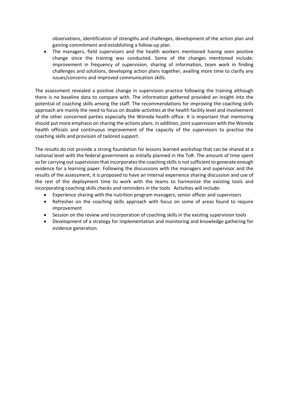observations, identification of strengths and challenges, development of the action plan and gaining commitment and establishing a follow-up plan.

• The managers, field supervisors and the health workers mentioned having seen positive change since the training was conducted. Some of the changes mentioned include; improvement in frequency of supervision, sharing of information, team work in finding challenges and solutions, developing action plans together, availing more time to clarify any issues/concerns and improved communication skills.

The assessment revealed a positive change in supervision practice following the training although there is no baseline data to compare with. The information gathered provided an insight into the potential of coaching skills among the staff. The recommendations for improving the coaching skills approach are mainly the need to focus on doable activities at the health facility level and involvement of the other concerned parties especially the Woreda health office. It is important that mentoring should put more emphasis on sharing the actions plans. In addition, joint supervision with the Woreda health officials and continuous improvement of the capacity of the supervisors to practise the coaching skills and provision of tailored support.

The results do not provide a strong foundation for lessons learned workshop that can be shared at a national level with the federal government as initially planned in the ToR. The amount of time spent so far carrying out supervision that incorporates the coaching skills is not sufficient to generate enough evidence for a learning paper. Following the discussions with the managers and supervisor and the results of the assessment, it is proposed to have an internal experience sharing discussion and use of the rest of the deployment time to work with the teams to harmonize the existing tools and incorporating coaching skills checks and reminders in the tools. Activities will include:

- Experience sharing with the nutrition program managers, senior officer and supervisors
- Refresher on the coaching skills approach with focus on some of areas found to require improvement
- Session on the review and incorporation of coaching skills in the existing supervision tools
- Development of a strategy for implementation and monitoring and knowledge gathering for evidence generation.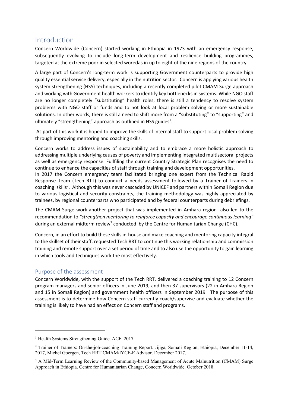## Introduction

Concern Worldwide (Concern) started working in Ethiopia in 1973 with an emergency response, subsequently evolving to include long-term development and resilience building programmes, targeted at the extreme poor in selected woredas in up to eight of the nine regions of the country.

A large part of Concern's long-term work is supporting Government counterparts to provide high quality essential service delivery, especially in the nutrition sector. Concern is applying various health system strengthening (HSS) techniques, including a recently completed pilot CMAM Surge approach and working with Government health workers to identify key bottlenecks in systems. While NGO staff are no longer completely "substituting" health roles, there is still a tendency to resolve system problems with NGO staff or funds and to not look at local problem solving or more sustainable solutions. In other words, there is still a need to shift more from a "substituting" to "supporting" and ultimately "strengthening" approach as outlined in HSS guides<sup>1</sup>.

As part of this work it is hoped to improve the skills of internal staff to support local problem solving through improving mentoring and coaching skills.

Concern works to address issues of sustainability and to embrace a more holistic approach to addressing multiple underlying causes of poverty and implementing integrated multisectoral projects as well as emergency response. Fullfiling the current Country Strategic Plan recognises the need to continue to enhance the capacities of staff through training and development opportunities.

In 2017 the Concern emergency team facilitated bringing one expert from the Technical Rapid Response Team (Tech RTT) to conduct a needs assessment followed by a Trainer of Trainers in coaching skills<sup>2</sup>. Although this was never cascaded by UNICEF and partners within Somali Region due to various logistical and security constraints, the training methodology was highly appreciated by trainees, by regional counterparts who participated and by federal counterparts during debriefings.

The CMAM Surge work-another project that was implemented in Amhara region- also led to the recommendation to *"strengthen mentoring to reinforce capacity and encourage continuous learning"* during an external midterm review<sup>3</sup> conducted by the Centre for Humanitarian Change (CHC).

Concern, in an effort to build these skills in-house and make coaching and mentoring capacity integral to the skillset of their staff, requested Tech RRT to continue this working relationship and commission training and remote support over a set period of time and to also use the opportunity to gain learning in which tools and techniques work the most effectively.

## Purpose of the assessment

Concern Worldwide, with the support of the Tech RRT, delivered a coaching training to 12 Concern program managers and senior officers in June 2019, and then 37 supervisors (22 in Amhara Region and 15 in Somali Region) and government health officers in September 2019. The purpose of this assessment is to determine how Concern staff currently coach/supervise and evaluate whether the training is likely to have had an effect on Concern staff and programs.

<sup>&</sup>lt;sup>1</sup> Health Systems Strengthening Guide. ACF. 2017.

<sup>2</sup> Trainer of Trainers: On-the-job-coaching Training Report. Jijiga, Somali Region, Ethiopia, December 11-14, 2017, Michel Goergen, Tech RRT CMAM/IYCF-E Advisor. December 2017.

<sup>&</sup>lt;sup>3</sup> A Mid-Term Learning Review of the Community-based Management of Acute Malnutrition (CMAM) Surge Approach in Ethiopia. Centre for Humanitarian Change, Concern Worldwide. October 2018.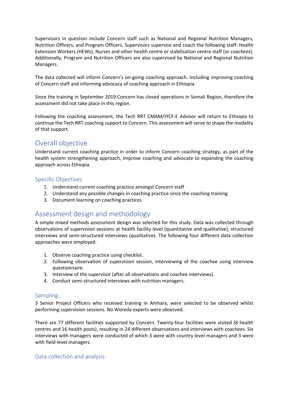Supervisors in question include Concern staff such as National and Regional Nutrition Managers, Nutrition Officers, and Program Officers. Supervisors supervise and coach the following staff: Health Extension Workers (HEWs), Nurses and other health centre or stabilisation centre staff (or *coachees*). Additionally, Program and Nutrition Officers are also supervised by National and Regional Nutrition Managers.

The data collected will inform Concern's on-going coaching approach. Including improving coaching of Concern staff and informing advocacy of coaching approach in Ethiopia.

Since the training in September 2019 Concern has closed operations in Somali Region, therefore the assessment did not take place in this region.

Following the coaching assessment, the Tech RRT CMAM/IYCF-E Advisor will return to Ethiopia to continue the Tech RRT coaching support to Concern. This assessment will serve to shape the modality of that support.

# Overall objective

Understand current coaching practice in order to inform Concern coaching strategy, as part of the health system strengthening approach, improve coaching and advocate to expanding the coaching approach across Ethiopia.

## Specific Objectives

- 1. Understand current coaching practice amongst Concern staff
- 2. Understand any possible changes in coaching practice since the coaching training
- 3. Document learning on coaching practices

# Assessment design and methodology

A simple mixed methods assessment design was selected for this study. Data was collected through observations of supervision sessions at health facility level (quantitative and qualitative), structured interviews and semi-structured interviews (qualitative). The following four different data collection approaches were employed:

- 1. Observe coaching practice using checklist.
- 2. Following observation of supervision session, interviewing of the coachee using interview questionnaire.
- 3. Interview of the supervisor (after all observations and coachee interviews).
- 4. Conduct semi-structured interviews with nutrition managers.

### Sampling

3 Senior Project Officers who received training in Amhara, were selected to be observed whilst performing supervision sessions. No Woreda experts were observed.

There are 77 different facilities supported by Concern. Twenty-four facilities were visited (8 health centres and 16 health posts), resulting in 24 different observations and interviews with coachees. Six interviews with managers were conducted of which 3 were with country level managers and 3 were with field-level managers.

### Data collection and analysis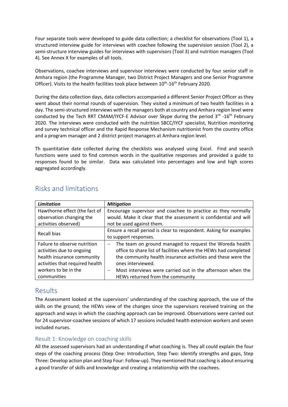Four separate tools were developed to guide data collection; a checklist for observations (Tool 1), a structured interview guide for interviews with coachee following the supervision session (Tool 2), a semi-structure interview guides for interviews with supervisors (Tool 3) and nutrition managers (Tool 4). See Annex X for examples of all tools.

Observations, coachee interviews and supervisor interviews were conducted by four senior staff in Amhara region (the Programme Manager, two District Project Managers and one Senior Programme Officer). Visits to the health facilities took place between 10<sup>th</sup>-16<sup>th</sup> February 2020.

During the data collection days, data collectors accompanied a different Senior Project Officer as they went about their normal rounds of supervision. They visited a minimum of two health facilities in a day. The semi-structured interviews with the managers both at country and Amhara region level were conducted by the Tech RRT CMAM/IYCF-E Advisor over Skype during the period 3rd -16<sup>th</sup> February 2020. The interviews were conducted with the nutrition SBCC/IYCF specialist, Nutrition monitoring and survey technical officer and the Rapid Response Mechanism nutritionist from the country office and a program manager and 2 district project managers at Amhara region level.

Th quantitative date collected during the checklists was analysed using Excel. Find and search functions were used to find common words in the qualitative responses and provided a guide to responses found to be similar. Data was calculated into percentages and low and high scores aggregated accordingly.

| <b>Limitation</b>               | <b>Mitigation</b>                                                  |  |  |  |
|---------------------------------|--------------------------------------------------------------------|--|--|--|
| Hawthorne effect (the fact of   | Encourage supervisor and coachee to practice as they normally      |  |  |  |
| observation changing the        | would. Make it clear that the assessment is confidential and will  |  |  |  |
| activities observed)            | not be used against them.                                          |  |  |  |
| Recall bias                     | Ensure a recall period is clear to respondent. Asking for examples |  |  |  |
|                                 | to support responses.                                              |  |  |  |
| Failure to observe nutrition    | The team on ground managed to request the Woreda health            |  |  |  |
| activities due to ongoing       | office to share list of facilities where the HEWs had completed    |  |  |  |
| health insurance community      | the community health insurance activities and these were the       |  |  |  |
| activities that required health | ones interviewed.                                                  |  |  |  |
| workers to be in the            | Most interviews were carried out in the afternoon when the         |  |  |  |
| communities                     | HEWs returned from the community                                   |  |  |  |

# Risks and limitations

## Results

The Assessment looked at the supervisors' understanding of the coaching approach, the use of the skills on the ground; the HEWs view of the changes since the supervisors received training on the approach and ways in which the coaching approach can be improved. Observations were carried out for 24 supervisor-coachee sessions of which 17 sessions included health extension workers and seven included nurses.

## Result 1: Knowledge on coaching skills

All the assessed supervisors had an understanding if what coaching is. They all could explain the four steps of the coaching process (Step One: Introduction, Step Two: Identify strengths and gaps, Step Three: Develop action plan and Step Four: Follow-up). They mentioned that coaching is about ensuring a good transfer of skills and knowledge and creating a relationship with the coachees.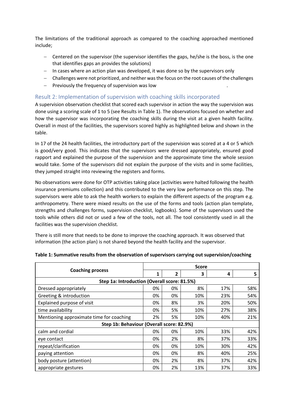The limitations of the traditional approach as compared to the coaching approached mentioned include;

- $-$  Centered on the supervisor (the supervisor identifies the gaps, he/she is the boss, is the one that identifies gaps an provides the solutions)
- In cases where an action plan was developed, it was done so by the supervisors only
- Challenges were not prioritized, and neither was the focus on the root causes of the challenges
- Previously the frequency of supervision was low

## Result 2: Implementation of supervision with coaching skills incorporated

A supervision observation checklist that scored each supervisor in action the way the supervision was done using a scoring scale of 1 to 5 (see Results in Table 1). The observations focused on whether and how the supervisor was incorporating the coaching skills during the visit at a given health facility. Overall in most of the facilities, the supervisors scored highly as highlighted below and shown in the table.

In 17 of the 24 health facilities, the introductory part of the supervision was scored at a 4 or 5 which is good/very good. This indicates that the supervisors were dressed appropriately, ensured good rapport and explained the purpose of the supervision and the approximate time the whole session would take. Some of the supervisors did not explain the purpose of the visits and in some facilities, they jumped straight into reviewing the registers and forms.

No observations were done for OTP activities taking place (activities were halted following the health insurance premiums collection) and this contributed to the very low performance on this step. The supervisors were able to ask the health workers to explain the different aspects of the program e.g. anthropometry. There were mixed results on the use of the forms and tools (action plan template, strengths and challenges forms, supervision checklist, logbooks). Some of the supervisors used the tools while others did not or used a few of the tools, not all. The tool consistently used in all the facilities was the supervision checklist.

There is still more that needs to be done to improve the coaching approach. It was observed that information (the action plan) is not shared beyond the health facility and the supervisor.

| <b>Coaching process</b>                      |    | <b>Score</b>   |     |     |     |  |  |
|----------------------------------------------|----|----------------|-----|-----|-----|--|--|
|                                              |    | $\overline{2}$ | 3   | 4   | 5   |  |  |
| Step 1a: Introduction (Overall score: 81.5%) |    |                |     |     |     |  |  |
| Dressed appropriately                        | 0% | 0%             | 8%  | 17% | 58% |  |  |
| Greeting & introduction                      | 0% | 0%             | 10% | 23% | 54% |  |  |
| Explained purpose of visit                   | 0% | 8%             | 3%  | 20% | 50% |  |  |
| time availability                            | 0% | 5%             | 10% | 27% | 38% |  |  |
| Mentioning approximate time for coaching     | 2% | 5%             | 10% | 40% | 21% |  |  |
| Step 1b: Behaviour (Overall score: 82.9%)    |    |                |     |     |     |  |  |
| calm and cordial                             | 0% | 0%             | 10% | 33% | 42% |  |  |
| eye contact                                  | 0% | 2%             | 8%  | 37% | 33% |  |  |
| repeat/clarification                         | 0% | 0%             | 10% | 30% | 42% |  |  |
| paying attention                             | 0% | 0%             | 8%  | 40% | 25% |  |  |
| body posture (attention)                     | 0% | 2%             | 8%  | 37% | 42% |  |  |
| appropriate gestures                         | 0% | 2%             | 13% | 37% | 33% |  |  |

#### **Table 1: Summative results from the observation of supervisors carrying out supervision/coaching**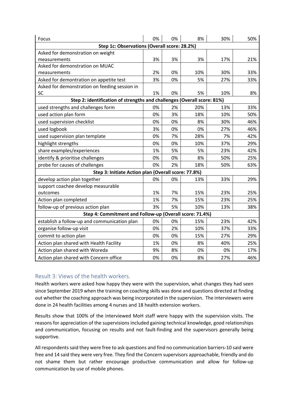| Focus                                                                   | 0% | 0% | 8%  | 30% | 50% |
|-------------------------------------------------------------------------|----|----|-----|-----|-----|
| Step 1c: Observations (Overall score: 28.2%)                            |    |    |     |     |     |
| Asked for demonstration on weight                                       |    |    |     |     |     |
| measurements                                                            | 3% | 3% | 3%  | 17% | 21% |
| Asked for demonstration on MUAC                                         |    |    |     |     |     |
| measurements                                                            | 2% | 0% | 10% | 30% | 33% |
| Asked for demontration on appetite test                                 | 3% | 0% | 5%  | 27% | 33% |
| Asked for demonstration on feeding session in                           |    |    |     |     |     |
| <b>SC</b>                                                               | 1% | 0% | 5%  | 10% | 8%  |
| Step 2: identification of strengths and challenges (Overall score: 81%) |    |    |     |     |     |
| used strengths and challenges form                                      | 0% | 2% | 20% | 13% | 33% |
| used action plan form                                                   | 0% | 3% | 18% | 10% | 50% |
| used supervision checklist                                              | 0% | 0% | 8%  | 30% | 46% |
| used logbook                                                            | 3% | 0% | 0%  | 27% | 46% |
| used supervision plan template                                          | 0% | 7% | 28% | 7%  | 42% |
| highlight strengths                                                     | 0% | 0% | 10% | 37% | 29% |
| share examples/experiences                                              | 1% | 5% | 5%  | 23% | 42% |
| identify & prioritise challenges                                        | 0% | 0% | 8%  | 50% | 25% |
| probe for causes of challenges                                          | 0% | 2% | 18% | 50% | 63% |
| Step 3: Initiate Action plan (Overall score: 77.8%)                     |    |    |     |     |     |
| develop action plan together                                            | 0% | 0% | 13% | 33% | 29% |
| support coachee develop measurable                                      |    |    |     |     |     |
| outcomes                                                                | 1% | 7% | 15% | 23% | 25% |
| Action plan completed                                                   | 1% | 7% | 15% | 23% | 25% |
| follow-up of previous action plan                                       | 3% | 5% | 10% | 13% | 38% |
| Step 4: Commitment and Follow-up (Overall score: 71.4%)                 |    |    |     |     |     |
| establish a follow-up and communication plan                            | 0% | 0% | 15% | 23% | 42% |
| organise follow-up visit                                                | 0% | 2% | 10% | 37% | 33% |
| commit to action plan                                                   | 0% | 0% | 15% | 27% | 29% |
| Action plan shared with Health Facility                                 | 1% | 0% | 8%  | 40% | 25% |
| Action plan shared with Woreda                                          | 9% | 8% | 0%  | 0%  | 17% |
| Action plan shared with Concern office                                  | 0% | 0% | 8%  | 27% | 46% |

## Result 3: Views of the health workers.

Health workers were asked how happy they were with the supervision, what changes they had seen since September 2019 when the training on coaching skills was done and questions directed at finding out whether the coaching approach was being incorporated in the supervision. The interviewers were done in 24 health facilities among 4 nurses and 18 health extension workers.

Results show that 100% of the interviewed MoH staff were happy with the supervision visits. The reasons for appreciation of the supervisions included gaining technical knowledge, good relationships and communication, focusing on results and not fault-finding and the supervisors generally being supportive.

All respondents said they were free to ask questions and find no communication barriers-10 said were free and 14 said they were very free. They find the Concern supervisors approachable, friendly and do not shame them but rather encourage productive communication and allow for follow-up communication by use of mobile phones.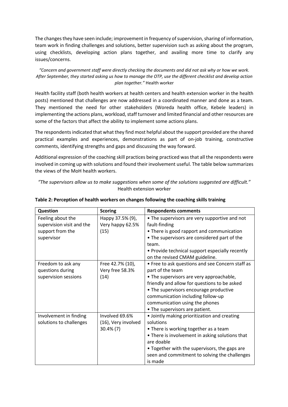The changes they have seen include; improvement in frequency of supervision, sharing of information, team work in finding challenges and solutions, better supervision such as asking about the program, using checklists, developing action plans together, and availing more time to clarify any issues/concerns.

*"Concern and government staff were directly checking the documents and did not ask why or how we work. After September, they started asking us how to manage the OTP, use the different checklist and develop action plan together."* Health worker

Health facility staff (both health workers at health centers and health extension worker in the health posts) mentioned that challenges are now addressed in a coordinated manner and done as a team. They mentioned the need for other stakeholders (Woreda health office, Kebele leaders) in implementing the actions plans, workload, staff turnover and limited financial and other resources are some of the factors that affect the ability to implement some actions plans.

The respondents indicated that what they find most helpful about the support provided are the shared practical examples and experiences, demonstrations as part of on-job training, constructive comments, identifying strengths and gaps and discussing the way forward.

Additional expression of the coaching skill practices being practiced was that all the respondents were involved in coming up with solutions and found their involvement useful. The table below summarizes the views of the MoH health workers.

*"The supervisors allow us to make suggestions when some of the solutions suggested are difficult."* Health extension worker

| Question                  | <b>Scoring</b>      | <b>Respondents comments</b>                      |
|---------------------------|---------------------|--------------------------------------------------|
| Feeling about the         | Нарру 37.5% (9),    | • The supervisors are very supportive and not    |
| supervision visit and the | Very happy 62.5%    | fault-finding                                    |
| support from the          | (15)                | • There is good rapport and communication        |
| supervisor                |                     | • The supervisors are considered part of the     |
|                           |                     | team.                                            |
|                           |                     | • Provide technical support especially recently  |
|                           |                     | on the revised CMAM guideline.                   |
| Freedom to ask any        | Free 42.7% (10),    | • Free to ask questions and see Concern staff as |
| questions during          | Very free 58.3%     | part of the team                                 |
| supervision sessions      | (14)                | • The supervisors are very approachable,         |
|                           |                     | friendly and allow for questions to be asked     |
|                           |                     | • The supervisors encourage productive           |
|                           |                     | communication including follow-up                |
|                           |                     | communication using the phones                   |
|                           |                     | • The supervisors are patient.                   |
| Involvement in finding    | Involved 69.6%      | • Jointly making prioritization and creating     |
| solutions to challenges   | (16), Very involved | solutions                                        |
|                           | $30.4\%$ (7)        | • There is working together as a team            |
|                           |                     | • There is involvement in asking solutions that  |
|                           |                     | are doable                                       |
|                           |                     | • Together with the supervisors, the gaps are    |
|                           |                     | seen and commitment to solving the challenges    |
|                           |                     | is made                                          |

**Table 2: Perception of health workers on changes following the coaching skills training**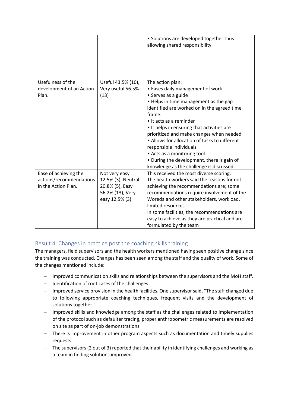|                          |                    | • Solutions are developed together thus<br>allowing shared responsibility                 |
|--------------------------|--------------------|-------------------------------------------------------------------------------------------|
| Usefulness of the        | Useful 43.5% (10), | The action plan:                                                                          |
| development of an Action | Very useful 56.5%  | • Eases daily management of work                                                          |
| Plan.                    | (13)               | • Serves as a guide                                                                       |
|                          |                    | • Helps in time management as the gap                                                     |
|                          |                    | identified are worked on in the agreed time                                               |
|                          |                    | frame.                                                                                    |
|                          |                    | • It acts as a reminder                                                                   |
|                          |                    | • It helps in ensuring that activities are                                                |
|                          |                    | prioritized and make changes when needed<br>• Allows for allocation of tasks to different |
|                          |                    | responsible individuals                                                                   |
|                          |                    | • Acts as a monitoring tool                                                               |
|                          |                    | • During the development, there is gain of                                                |
|                          |                    | knowledge as the challenge is discussed.                                                  |
| Ease of achieving the    | Not very easy      | This received the most diverse scoring.                                                   |
| actions/recommendations  | 12.5% (3), Neutral | The health workers said the reasons for not                                               |
| in the Action Plan.      | 20.8% (5), Easy    | achieving the recommendations are; some                                                   |
|                          | 56.2% (13), Very   | recommendations require involvement of the                                                |
|                          | easy 12.5% (3)     | Woreda and other stakeholders, workload,                                                  |
|                          |                    | limited resources.                                                                        |
|                          |                    | In some facilities, the recommendations are                                               |
|                          |                    | easy to achieve as they are practical and are                                             |
|                          |                    | formulated by the team                                                                    |

## Result 4: Changes in practice post the coaching skills training.

The managers, field supervisors and the health workers mentioned having seen positive change since the training was conducted. Changes has been seen among the staff and the quality of work. Some of the changes mentioned include:

- Improved communication skills and relationships between the supervisors and the MoH staff.
- Identification of root cases of the challenges
- Improved service provision in the health facilities. One supervisor said, "The staff changed due to following appropriate coaching techniques, frequent visits and the development of solutions together."
- Improved skills and knowledge among the staff as the challenges related to implementation of the protocol such as defaulter tracing, proper anthropometric measurements are resolved on site as part of on-job demonstrations.
- There is improvement in other program aspects such as documentation and timely supplies requests.
- The supervisors (2 out of 3) reported that their ability in identifying challenges and working as a team in finding solutions improved.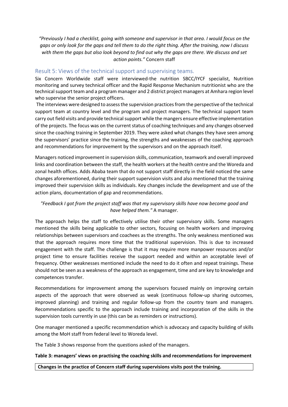*"Previously I had a checklist, going with someone and supervisor in that area. I would focus on the gaps or only look for the gaps and tell them to do the right thing. After the training, now I discuss with them the gaps but also look beyond to find out why the gaps are there. We discuss and set action points."* Concern staff

### Result 5: Views of the technical support and supervising teams.

Six Concern Worldwide staff were interviewed-the nutrition SBCC/IYCF specialist, Nutrition monitoring and survey technical officer and the Rapid Response Mechanism nutritionist who are the technical support team and a program manager and 2 district project managers at Amhara region level who supervise the senior project officers.

The interviews were designed to assess the supervision practices from the perspective of the technical support team at country level and the program and project managers. The technical support team carry out field visits and provide technical support while the mangers ensure effective implementation of the projects. The focus was on the current status of coaching techniques and any changes observed since the coaching training in September 2019. They were asked what changes they have seen among the supervisors' practice since the training, the strengths and weaknesses of the coaching approach and recommendations for improvement by the supervisors and on the approach itself.

Managers noticed improvement in supervision skills, communication, teamwork and overall improved links and coordination between the staff, the health workers at the health centre and the Woreda and zonal health offices. Adds Ababa team that do not support staff directly in the field noticed the same changes aforementioned, during their support supervision visits and also mentioned that the training improved their supervision skills as individuals. Key changes include the development and use of the action plans, documentation of gap and recommendations.

## *"Feedback I got from the project staff was that my supervisory skills have now become good and have helped them."* A manager.

The approach helps the staff to effectively utilise their other supervisory skills. Some managers mentioned the skills being applicable to other sectors, focusing on health workers and improving relationships between supervisors and coachees as the strengths. The only weakness mentioned was that the approach requires more time that the traditional supervision. This is due to increased engagement with the staff. The challenge is that it may require more manpower resources and/or project time to ensure facilities receive the support needed and within an acceptable level of frequency. Other weaknesses mentioned include the need to do it often and repeat trainings. These should not be seen as a weakness of the approach as engagement, time and are key to knowledge and competences transfer.

Recommendations for improvement among the supervisors focused mainly on improving certain aspects of the approach that were observed as weak (continuous follow-up sharing outcomes, improved planning) and training and regular follow-up from the country team and managers. Recommendations specific to the approach include training and incorporation of the skills in the supervision tools currently in use (this can be as reminders or instructions).

One manager mentioned a specific recommendation which is advocacy and capacity building of skills among the MoH staff from federal level to Woreda level.

The Table 3 shows response from the questions asked of the managers.

#### **Table 3: managers' views on practising the coaching skills and recommendations for improvement**

#### **Changes in the practice of Concern staff during supervisions visits post the training.**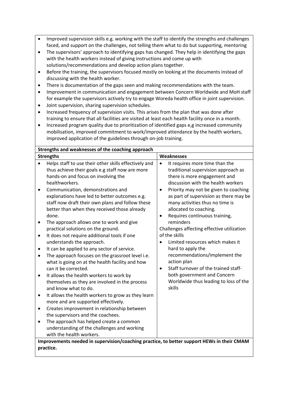- Improved supervision skills e.g. working with the staff to identify the strengths and challenges faced, and support on the challenges, not telling them what to do but supporting, mentoring
- The supervisors' approach to identifying gaps has changed. They help in identifying the gaps with the health workers instead of giving instructions and come up with solutions/recommendations and develop action plans together.
- Before the training, the supervisors focused mostly on looking at the documents instead of discussing with the health worker.
- There is documentation of the gaps seen and making recommendations with the team.
- Improvement in communication and engagement between Concern Worldwide and MoH staff for example the supervisors actively try to engage Woreda health office in joint supervision.
- Joint supervision, sharing supervision schedules.
- Increased frequency of supervision visits. This arises from the plan that was done after training to ensure that all facilities are visited at least each health facility once in a month.
- Increased program quality due to prioritization of identified gaps e,g increased community mobilisation, improved commitment to work/improved attendance by the health workers, improved application of the guidelines through on-job training.

| Strengths and weaknesses of the coaching approach                                                       |                                                                                                                                                                                                                                                         |                        |                                                                                                                                                                                                                                |  |  |  |
|---------------------------------------------------------------------------------------------------------|---------------------------------------------------------------------------------------------------------------------------------------------------------------------------------------------------------------------------------------------------------|------------------------|--------------------------------------------------------------------------------------------------------------------------------------------------------------------------------------------------------------------------------|--|--|--|
|                                                                                                         | <b>Strengths</b>                                                                                                                                                                                                                                        | <b>Weaknesses</b>      |                                                                                                                                                                                                                                |  |  |  |
| $\bullet$<br>٠                                                                                          | Helps staff to use their other skills effectively and<br>thus achieve their goals e.g staff now are more<br>hands-on and focus on involving the<br>healthworkers.<br>Communication, demonstrations and<br>explanations have led to better outcomes e.g. | $\bullet$<br>$\bullet$ | It requires more time than the<br>traditional supervision approach as<br>there is more engagement and<br>discussion with the health workers<br>Priority may not be given to coaching<br>as part of supervision as there may be |  |  |  |
|                                                                                                         | staff now draft their own plans and follow these<br>better than when they received those already<br>done.                                                                                                                                               | $\bullet$              | many activities thus no time is<br>allocated to coaching.<br>Requires continuous training,                                                                                                                                     |  |  |  |
| ٠                                                                                                       | The approach allows one to work and give<br>practical solutions on the ground.                                                                                                                                                                          |                        | reminders<br>Challenges affecting effective utilization<br>of the skills                                                                                                                                                       |  |  |  |
| $\bullet$                                                                                               | It does not require additional tools if one<br>understands the approach.                                                                                                                                                                                |                        | Limited resources which makes it                                                                                                                                                                                               |  |  |  |
| ٠<br>٠                                                                                                  | It can be applied to any sector of service.<br>The approach focuses on the grassroot level i.e.<br>what is going on at the health facility and how<br>can it be corrected.                                                                              | $\bullet$              | hard to apply the<br>recommendations/implement the<br>action plan<br>Staff turnover of the trained staff-                                                                                                                      |  |  |  |
| $\bullet$                                                                                               | It allows the health workers to work by<br>themselves as they are involved in the process<br>and know what to do.                                                                                                                                       |                        | both government and Concern<br>Worldwide thus leading to loss of the<br>skills                                                                                                                                                 |  |  |  |
| ٠                                                                                                       | It allows the health workers to grow as they learn<br>more and are supported effectively.                                                                                                                                                               |                        |                                                                                                                                                                                                                                |  |  |  |
| $\bullet$                                                                                               | Creates improvement in relationship between<br>the supervisors and the coachees.                                                                                                                                                                        |                        |                                                                                                                                                                                                                                |  |  |  |
| ٠                                                                                                       | The approach has helped create a common<br>understanding of the challenges and working<br>with the health workers.                                                                                                                                      |                        |                                                                                                                                                                                                                                |  |  |  |
| Improvements needed in supervision/coaching practice, to better support HEWs in their CMAM<br>practice. |                                                                                                                                                                                                                                                         |                        |                                                                                                                                                                                                                                |  |  |  |
|                                                                                                         |                                                                                                                                                                                                                                                         |                        |                                                                                                                                                                                                                                |  |  |  |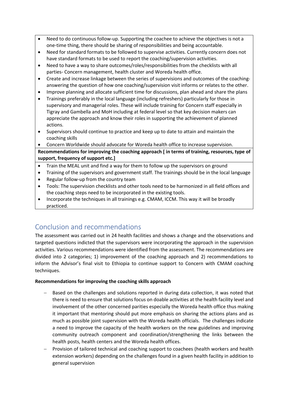- Need to do continuous follow-up. Supporting the coachee to achieve the objectives is not a one-time thing, there should be sharing of responsibilities and being accountable.
- Need for standard formats to be followed to supervise activities. Currently concern does not have standard formats to be used to report the coaching/supervision activities.
- Need to have a way to share outcomes/roles/responsibilities from the checklists with all parties- Concern management, health cluster and Woreda health office.
- Create and increase linkage between the series of supervisions and outcomes of the coachinganswering the question of how one coaching/supervision visit informs or relates to the other.
- Improve planning and allocate sufficient time for discussions, plan ahead and share the plans
- Trainings preferably in the local language (including refreshers) particularly for those in supervisory and managerial roles. These will include training for Concern staff especially in Tigray and Gambella and MoH including at federal level so that key decision makers can appreciate the approach and know their roles in supporting the achievement of planned actions.
- Supervisors should continue to practice and keep up to date to attain and maintain the coaching skills
- Concern Worldwide should advocate for Woreda health office to increase supervision.

**Recommendations for improving the coaching approach [ in terms of training, resources, type of support, frequency of support etc.]**

- Train the MEAL unit and find a way for them to follow up the supervisors on ground
- Training of the supervisors and government staff. The trainings should be in the local language
- Regular follow-up from the country team
- Tools: The supervision checklists and other tools need to be harmonized in all field offices and the coaching steps need to be incorporated in the existing tools.
- Incorporate the techniques in all trainings e.g. CMAM, ICCM. This way it will be broadly practiced.

# Conclusion and recommendations

The assessment was carried out in 24 health facilities and shows a change and the observations and targeted questions indicted that the supervisors were incorporating the approach in the supervision activities. Various recommendations were identified from the assessment. The recommendations are divided into 2 categories; 1) improvement of the coaching approach and 2) recommendations to inform the Advisor's final visit to Ethiopia to continue support to Concern with CMAM coaching techniques.

### **Recommendations for improving the coaching skills approach**

- Based on the challenges and solutions reported in during data collection, it was noted that there is need to ensure that solutions focus on doable activities at the health facility level and involvement of the other concerned parities especially the Woreda health office thus making it important that mentoring should put more emphasis on sharing the actions plans and as much as possible joint supervision with the Woreda health officials. The challenges indicate a need to improve the capacity of the health workers on the new guidelines and improving community outreach component and coordination/strengthening the links between the health posts, health centers and the Woreda health offices.
- Provision of tailored technical and coaching support to coachees (health workers and health extension workers) depending on the challenges found in a given health facility in addition to general supervision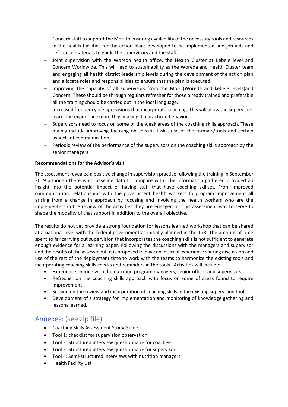- Concern staff to support the MoH to ensuring availability of the necessary tools and resources in the health facilities for the action plans developed to be implemented and job aids and reference materials to guide the supervisors and the staff.
- Joint supervision with the Woreda health office, the Health Cluster at Kebele level and Concern Worldwide. This will lead to sustainability as the Woreda and Health Cluster team and engaging all health district leadership levels during the development of the action plan and allocate roles and responsibilities to ensure that the plan is executed.
- Improving the capacity of all supervisors from the MoH (Woreda and kebele levels)and Concern. These should be through regulars refresher for those already trained and preferable all the training should be carried out in the local language.
- Increased frequency of supervisions that incorporate coaching. This will allow the supervisors learn and experience more thus making it a practiced behavior.
- Supervisors need to focus on some of the weak areas of the coaching skills approach. These mainly include improving focusing on specific tasks, use of the formats/tools and certain aspects of communication.
- Periodic review of the performance of the supervisors on the coaching skills approach by the senior managers

#### **Recommendations for the Advisor's visit**

The assessment revealed a positive change in supervision practice following the training in September 2019 although there is no baseline data to compare with. The information gathered provided an insight into the potential impact of having staff that have coaching skillset. From improved communication, relationships with the government health workers to program improvement all arising from a change in approach by focusing and involving the health workers who are the implementers in the review of the activities they are engaged in. This assessment was to serve to shape the modality of that support in addition to the overall objective.

The results do not yet provide a strong foundation for lessons learned workshop that can be shared at a national level with the federal government as initially planned in the ToR. The amount of time spent so far carrying out supervision that incorporates the coaching skills is not sufficient to generate enough evidence for a learning paper. Following the discussions with the managers and supervisor and the results of the assessment, it is proposed to have an internal experience sharing discussion and use of the rest of the deployment time to work with the teams to harmonize the existing tools and incorporating coaching skills checks and reminders in the tools. Activities will include:

- Experience sharing with the nutrition program managers, senior officer and supervisors
- Refresher on the coaching skills approach with focus on some of areas found to require improvement
- Session on the review and incorporation of coaching skills in the existing supervision tools
- Development of a strategy for implementation and monitoring of knowledge gathering and lessons learned.

# Annexes: (see zip file)

- Coaching Skills Assessment Study Guide
- Tool 1: checklist for supervision observation
- Tool 2: Structured interview questionnaire for coachee
- Tool 3: Structured interview questionnaire for supervisor
- Tool 4: Semi-structured interviews with nutrition managers
- Health Facility List